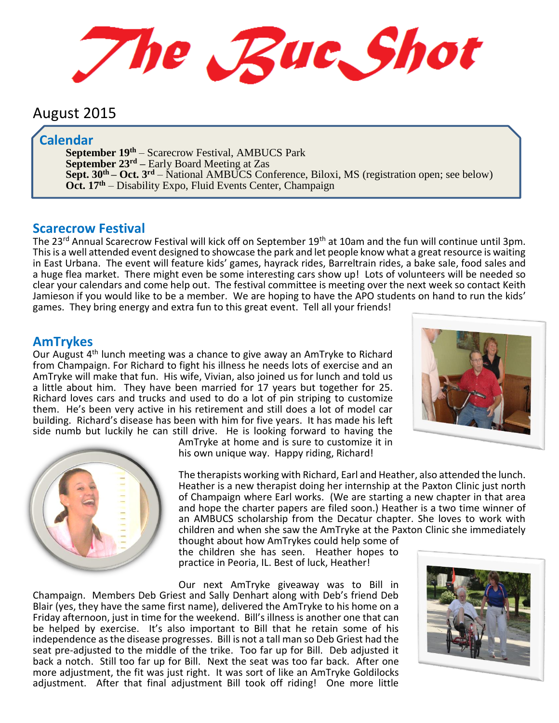The Rue Shot

# August 2015

### **Calendar**

**September 19 th** – Scarecrow Festival, AMBUCS Park **September 23rd –** Early Board Meeting at Zas **Sept. 30th – Oct. 3 rd** – National AMBUCS Conference, Biloxi, MS (registration open; see below) **Oct. 17th** – Disability Expo, Fluid Events Center, Champaign

#### **Scarecrow Festival**

The 23rd Annual Scarecrow Festival will kick off on September 19th at 10am and the fun will continue until 3pm. This is a well attended event designed to showcase the park and let people know what a great resource is waiting in East Urbana. The event will feature kids' games, hayrack rides, Barreltrain rides, a bake sale, food sales and a huge flea market. There might even be some interesting cars show up! Lots of volunteers will be needed so clear your calendars and come help out. The festival committee is meeting over the next week so contact Keith Jamieson if you would like to be a member. We are hoping to have the APO students on hand to run the kids' games. They bring energy and extra fun to this great event. Tell all your friends!

#### **AmTrykes**

Our August 4<sup>th</sup> lunch meeting was a chance to give away an AmTryke to Richard from Champaign. For Richard to fight his illness he needs lots of exercise and an AmTryke will make that fun. His wife, Vivian, also joined us for lunch and told us a little about him. They have been married for 17 years but together for 25. Richard loves cars and trucks and used to do a lot of pin striping to customize them. He's been very active in his retirement and still does a lot of model car building. Richard's disease has been with him for five years. It has made his left side numb but luckily he can still drive. He is looking forward to having the





AmTryke at home and is sure to customize it in his own unique way. Happy riding, Richard!

The therapists working with Richard, Earl and Heather, also attended the lunch. Heather is a new therapist doing her internship at the Paxton Clinic just north of Champaign where Earl works. (We are starting a new chapter in that area and hope the charter papers are filed soon.) Heather is a two time winner of an AMBUCS scholarship from the Decatur chapter. She loves to work with children and when she saw the AmTryke at the Paxton Clinic she immediately

thought about how AmTrykes could help some of the children she has seen. Heather hopes to practice in Peoria, IL. Best of luck, Heather!

Our next AmTryke giveaway was to Bill in Champaign. Members Deb Griest and Sally Denhart along with Deb's friend Deb Blair (yes, they have the same first name), delivered the AmTryke to his home on a Friday afternoon, just in time for the weekend. Bill's illness is another one that can be helped by exercise. It's also important to Bill that he retain some of his independence as the disease progresses. Bill is not a tall man so Deb Griest had the seat pre-adjusted to the middle of the trike. Too far up for Bill. Deb adjusted it back a notch. Still too far up for Bill. Next the seat was too far back. After one more adjustment, the fit was just right. It was sort of like an AmTryke Goldilocks adjustment. After that final adjustment Bill took off riding! One more little

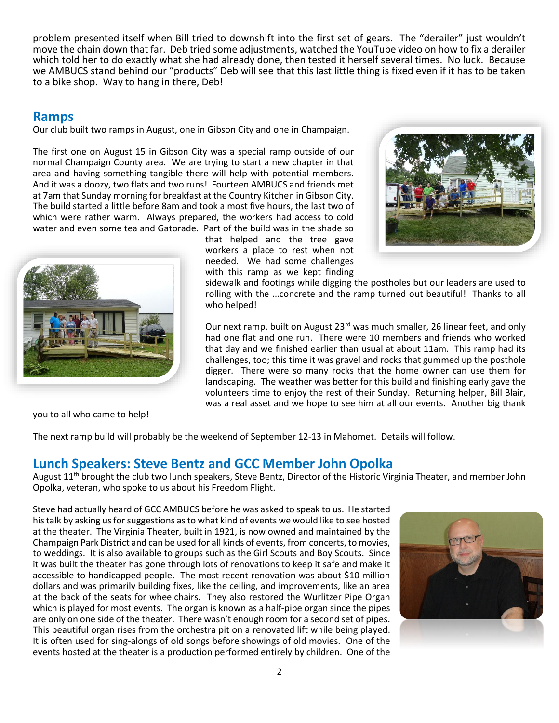problem presented itself when Bill tried to downshift into the first set of gears. The "derailer" just wouldn't move the chain down that far. Deb tried some adjustments, watched the YouTube video on how to fix a derailer which told her to do exactly what she had already done, then tested it herself several times. No luck. Because we AMBUCS stand behind our "products" Deb will see that this last little thing is fixed even if it has to be taken to a bike shop. Way to hang in there, Deb!

### **Ramps**

Our club built two ramps in August, one in Gibson City and one in Champaign.

The first one on August 15 in Gibson City was a special ramp outside of our normal Champaign County area. We are trying to start a new chapter in that area and having something tangible there will help with potential members. And it was a doozy, two flats and two runs! Fourteen AMBUCS and friends met at 7am that Sunday morning for breakfast at the Country Kitchen in Gibson City. The build started a little before 8am and took almost five hours, the last two of which were rather warm. Always prepared, the workers had access to cold water and even some tea and Gatorade. Part of the build was in the shade so

that helped and the tree gave workers a place to rest when not needed. We had some challenges with this ramp as we kept finding





sidewalk and footings while digging the postholes but our leaders are used to rolling with the …concrete and the ramp turned out beautiful! Thanks to all who helped!

Our next ramp, built on August 23<sup>rd</sup> was much smaller, 26 linear feet, and only had one flat and one run. There were 10 members and friends who worked that day and we finished earlier than usual at about 11am. This ramp had its challenges, too; this time it was gravel and rocks that gummed up the posthole digger. There were so many rocks that the home owner can use them for landscaping. The weather was better for this build and finishing early gave the volunteers time to enjoy the rest of their Sunday. Returning helper, Bill Blair, was a real asset and we hope to see him at all our events. Another big thank

you to all who came to help!

The next ramp build will probably be the weekend of September 12-13 in Mahomet. Details will follow.

## **Lunch Speakers: Steve Bentz and GCC Member John Opolka**

August  $11<sup>th</sup>$  brought the club two lunch speakers, Steve Bentz, Director of the Historic Virginia Theater, and member John Opolka, veteran, who spoke to us about his Freedom Flight.

Steve had actually heard of GCC AMBUCS before he was asked to speak to us. He started his talk by asking us for suggestions as to what kind of events we would like to see hosted at the theater. The Virginia Theater, built in 1921, is now owned and maintained by the Champaign Park District and can be used for all kinds of events, from concerts, to movies, to weddings. It is also available to groups such as the Girl Scouts and Boy Scouts. Since it was built the theater has gone through lots of renovations to keep it safe and make it accessible to handicapped people. The most recent renovation was about \$10 million dollars and was primarily building fixes, like the ceiling, and improvements, like an area at the back of the seats for wheelchairs. They also restored the Wurlitzer Pipe Organ which is played for most events. The organ is known as a half-pipe organ since the pipes are only on one side of the theater. There wasn't enough room for a second set of pipes. This beautiful organ rises from the orchestra pit on a renovated lift while being played. It is often used for sing-alongs of old songs before showings of old movies. One of the events hosted at the theater is a production performed entirely by children. One of the

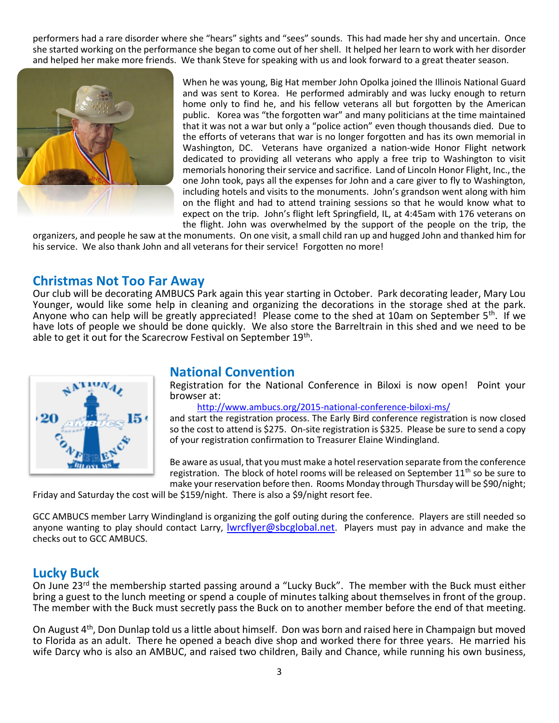performers had a rare disorder where she "hears" sights and "sees" sounds. This had made her shy and uncertain. Once she started working on the performance she began to come out of her shell. It helped her learn to work with her disorder and helped her make more friends. We thank Steve for speaking with us and look forward to a great theater season.



When he was young, Big Hat member John Opolka joined the Illinois National Guard and was sent to Korea. He performed admirably and was lucky enough to return home only to find he, and his fellow veterans all but forgotten by the American public. Korea was "the forgotten war" and many politicians at the time maintained that it was not a war but only a "police action" even though thousands died. Due to the efforts of veterans that war is no longer forgotten and has its own memorial in Washington, DC. Veterans have organized a nation-wide Honor Flight network dedicated to providing all veterans who apply a free trip to Washington to visit memorials honoring their service and sacrifice. Land of Lincoln Honor Flight, Inc., the one John took, pays all the expenses for John and a care giver to fly to Washington, including hotels and visits to the monuments. John's grandson went along with him on the flight and had to attend training sessions so that he would know what to expect on the trip. John's flight left Springfield, IL, at 4:45am with 176 veterans on the flight. John was overwhelmed by the support of the people on the trip, the

organizers, and people he saw at the monuments. On one visit, a small child ran up and hugged John and thanked him for his service. We also thank John and all veterans for their service! Forgotten no more!

## **Christmas Not Too Far Away**

Our club will be decorating AMBUCS Park again this year starting in October. Park decorating leader, Mary Lou Younger, would like some help in cleaning and organizing the decorations in the storage shed at the park. Anyone who can help will be greatly appreciated! Please come to the shed at 10am on September 5<sup>th</sup>. If we have lots of people we should be done quickly. We also store the Barreltrain in this shed and we need to be able to get it out for the Scarecrow Festival on September 19<sup>th</sup>.



### **National Convention**

Registration for the National Conference in Biloxi is now open! Point your browser at:

[http://www.ambucs.org/2015-national-conference-biloxi-ms/](https://webmail.illinois.edu/owa/redir.aspx?SURL=wQ4rXlGDxas6WnsTkTTglGdjo5S1pqHGvZeWVCB-I962cAdLE4PSCGgAdAB0AHAAcwA6AC8ALwB1AHIAbABkAGUAZgBlAG4AcwBlAC4AcAByAG8AbwBmAHAAbwBpAG4AdAAuAGMAbwBtAC8AdgAyAC8AdQByAGwAPwB1AD0AaAB0AHQAcAAtADMAQQBfAF8AdwB3AHcALgBhAG0AYgB1AGMAcwAuAG8AcgBnAF8AMgAwADEANQAtADIARABuAGEAdABpAG8AbgBhAGwALQAyAEQAYwBvAG4AZgBlAHIAZQBuAGMAZQAtADIARABiAGkAbABvAHgAaQAtADIARABtAHMAXwAmAGQAPQBBAHcATQBGAEEAZwAmAGMAPQA4AGgAVQBXAEYAWgBjAHkAMgBaAC0AWgBhADUAcgBCAFAAbABrAHQATwBRACYAcgA9AEgATQAzAE4ARgB6AE0AMABjAGgAOAA4AFMAUQBEAEMASgBiAG0AagBRAEkAaQBaAHIAbABuAGQAUwBoAHoASwBpADYARAByAEMARwBnAE8AeABQAEUAJgBtAD0AYgBPAFEAWgBDAGIAWABWAHgASQBJAGsAbQBLAFcANwBkAFIAZgBpAFkAUwBmAGMAbgA5AHIAagB6AFMAagByAHoAYwBfAE4AUQBVAGoAaAB4AEYAawAmAHMAPQB4AGIATwA1ADIARQBkAG0AWABmAGUANgBHAEgAUQBEAFUAOABPAHIANQBjADQAUQBLADYATABoADIAZQBuAGQATQBoAHoAaQAxAGIASwBmADIAYgBFACYAZQA9AA..&URL=https%3a%2f%2furldefense.proofpoint.com%2fv2%2furl%3fu%3dhttp-3A__www.ambucs.org_2015-2Dnational-2Dconference-2Dbiloxi-2Dms_%26d%3dAwMFAg%26c%3d8hUWFZcy2Z-Za5rBPlktOQ%26r%3dHM3NFzM0ch88SQDCJbmjQIiZrlndShzKi6DrCGgOxPE%26m%3dbOQZCbXVxIIkmKW7dRfiYSfcn9rjzSjrzc_NQUjhxFk%26s%3dxbO52EdmXfe6GHQDU8Or5c4QK6Lh2endMhzi1bKf2bE%26e%3d)

and start the registration process. The Early Bird conference registration is now closed so the cost to attend is \$275. On-site registration is \$325. Please be sure to send a copy of your registration confirmation to Treasurer Elaine Windingland.

Be aware as usual, that you must make a hotel reservation separate from the conference registration. The block of hotel rooms will be released on September  $11<sup>th</sup>$  so be sure to make your reservation before then. Rooms Monday through Thursday will be \$90/night;

Friday and Saturday the cost will be \$159/night. There is also a \$9/night resort fee.

GCC AMBUCS member Larry Windingland is organizing the golf outing during the conference. Players are still needed so anyone wanting to play should contact Larry, [lwrcflyer@sbcglobal.net](mailto:lwrcflyer@sbcglobal.net). Players must pay in advance and make the checks out to GCC AMBUCS.

### **Lucky Buck**

On June 23<sup>rd</sup> the membership started passing around a "Lucky Buck". The member with the Buck must either bring a guest to the lunch meeting or spend a couple of minutes talking about themselves in front of the group. The member with the Buck must secretly pass the Buck on to another member before the end of that meeting.

On August 4<sup>th</sup>, Don Dunlap told us a little about himself. Don was born and raised here in Champaign but moved to Florida as an adult. There he opened a beach dive shop and worked there for three years. He married his wife Darcy who is also an AMBUC, and raised two children, Baily and Chance, while running his own business,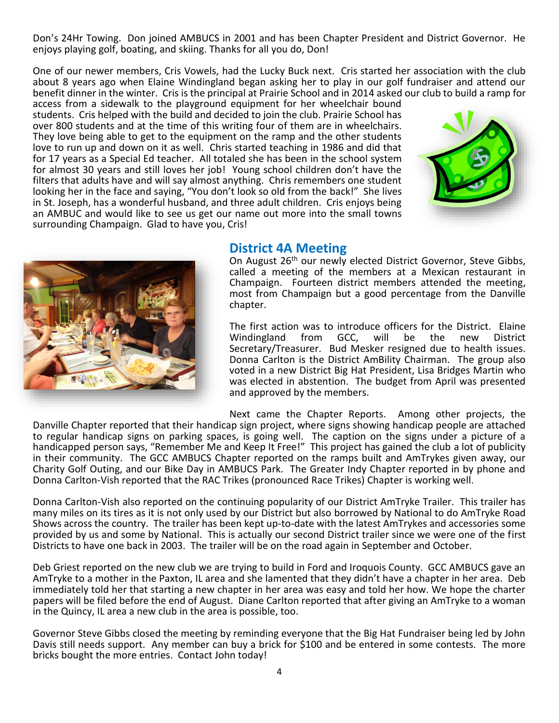Don's 24Hr Towing. Don joined AMBUCS in 2001 and has been Chapter President and District Governor. He enjoys playing golf, boating, and skiing. Thanks for all you do, Don!

One of our newer members, Cris Vowels, had the Lucky Buck next. Cris started her association with the club about 8 years ago when Elaine Windingland began asking her to play in our golf fundraiser and attend our benefit dinner in the winter. Cris is the principal at Prairie School and in 2014 asked our club to build a ramp for

access from a sidewalk to the playground equipment for her wheelchair bound students. Cris helped with the build and decided to join the club. Prairie School has over 800 students and at the time of this writing four of them are in wheelchairs. They love being able to get to the equipment on the ramp and the other students love to run up and down on it as well. Chris started teaching in 1986 and did that for 17 years as a Special Ed teacher. All totaled she has been in the school system for almost 30 years and still loves her job! Young school children don't have the filters that adults have and will say almost anything. Chris remembers one student looking her in the face and saying, "You don't look so old from the back!" She lives in St. Joseph, has a wonderful husband, and three adult children. Cris enjoys being an AMBUC and would like to see us get our name out more into the small towns surrounding Champaign. Glad to have you, Cris!





## **District 4A Meeting**

On August 26<sup>th</sup> our newly elected District Governor, Steve Gibbs, called a meeting of the members at a Mexican restaurant in Champaign. Fourteen district members attended the meeting, most from Champaign but a good percentage from the Danville chapter.

The first action was to introduce officers for the District. Elaine<br>Windingland from GCC, will be the new District Windingland Secretary/Treasurer. Bud Mesker resigned due to health issues. Donna Carlton is the District AmBility Chairman. The group also voted in a new District Big Hat President, Lisa Bridges Martin who was elected in abstention. The budget from April was presented and approved by the members.

Next came the Chapter Reports. Among other projects, the Danville Chapter reported that their handicap sign project, where signs showing handicap people are attached to regular handicap signs on parking spaces, is going well. The caption on the signs under a picture of a handicapped person says, "Remember Me and Keep It Free!" This project has gained the club a lot of publicity in their community. The GCC AMBUCS Chapter reported on the ramps built and AmTrykes given away, our Charity Golf Outing, and our Bike Day in AMBUCS Park. The Greater Indy Chapter reported in by phone and Donna Carlton-Vish reported that the RAC Trikes (pronounced Race Trikes) Chapter is working well.

Donna Carlton-Vish also reported on the continuing popularity of our District AmTryke Trailer. This trailer has many miles on its tires as it is not only used by our District but also borrowed by National to do AmTryke Road Shows across the country. The trailer has been kept up-to-date with the latest AmTrykes and accessories some provided by us and some by National. This is actually our second District trailer since we were one of the first Districts to have one back in 2003. The trailer will be on the road again in September and October.

Deb Griest reported on the new club we are trying to build in Ford and Iroquois County. GCC AMBUCS gave an AmTryke to a mother in the Paxton, IL area and she lamented that they didn't have a chapter in her area. Deb immediately told her that starting a new chapter in her area was easy and told her how. We hope the charter papers will be filed before the end of August. Diane Carlton reported that after giving an AmTryke to a woman in the Quincy, IL area a new club in the area is possible, too.

Governor Steve Gibbs closed the meeting by reminding everyone that the Big Hat Fundraiser being led by John Davis still needs support. Any member can buy a brick for \$100 and be entered in some contests. The more bricks bought the more entries. Contact John today!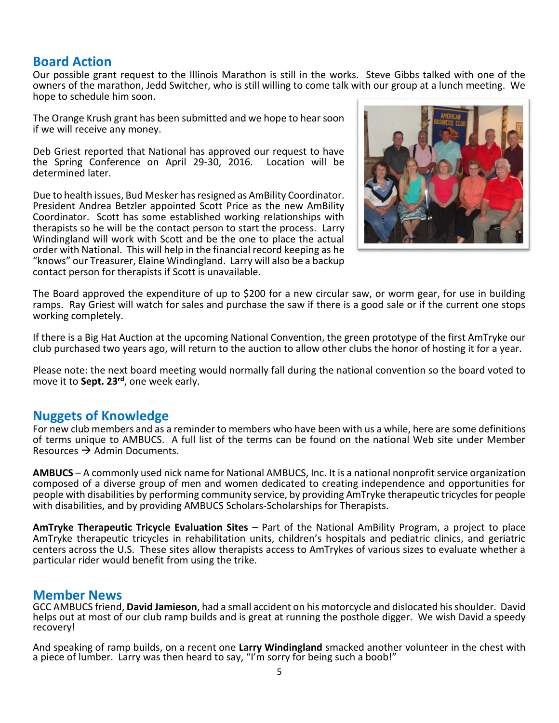## **Board Action**

Our possible grant request to the Illinois Marathon is still in the works. Steve Gibbs talked with one of the owners of the marathon, Jedd Switcher, who is still willing to come talk with our group at a lunch meeting. We hope to schedule him soon.

The Orange Krush grant has been submitted and we hope to hear soon if we will receive any money.

Deb Griest reported that National has approved our request to have the Spring Conference on April 29-30, 2016. Location will be determined later.

Due to health issues, Bud Mesker has resigned as AmBility Coordinator. President Andrea Betzler appointed Scott Price as the new AmBility Coordinator. Scott has some established working relationships with therapists so he will be the contact person to start the process. Larry Windingland will work with Scott and be the one to place the actual order with National. This will help in the financial record keeping as he "knows" our Treasurer, Elaine Windingland. Larry will also be a backup contact person for therapists if Scott is unavailable.



The Board approved the expenditure of up to \$200 for a new circular saw, or worm gear, for use in building ramps. Ray Griest will watch for sales and purchase the saw if there is a good sale or if the current one stops working completely.

If there is a Big Hat Auction at the upcoming National Convention, the green prototype of the first AmTryke our club purchased two years ago, will return to the auction to allow other clubs the honor of hosting it for a year.

Please note: the next board meeting would normally fall during the national convention so the board voted to move it to **Sept. 23rd**, one week early.

## **Nuggets of Knowledge**

For new club members and as a reminder to members who have been with us a while, here are some definitions of terms unique to AMBUCS. A full list of the terms can be found on the national Web site under Member Resources  $\rightarrow$  Admin Documents.

**AMBUCS** – A commonly used nick name for National AMBUCS, Inc. It is a national nonprofit service organization composed of a diverse group of men and women dedicated to creating independence and opportunities for people with disabilities by performing community service, by providing AmTryke therapeutic tricycles for people with disabilities, and by providing AMBUCS Scholars-Scholarships for Therapists.

**AmTryke Therapeutic Tricycle Evaluation Sites** – Part of the National AmBility Program, a project to place AmTryke therapeutic tricycles in rehabilitation units, children's hospitals and pediatric clinics, and geriatric centers across the U.S. These sites allow therapists access to AmTrykes of various sizes to evaluate whether a particular rider would benefit from using the trike.

### **Member News**

GCC AMBUCS friend, **David Jamieson**, had a small accident on his motorcycle and dislocated his shoulder. David helps out at most of our club ramp builds and is great at running the posthole digger. We wish David a speedy recovery!

And speaking of ramp builds, on a recent one **Larry Windingland** smacked another volunteer in the chest with a piece of lumber. Larry was then heard to say, "I'm sorry for being such a boob!"